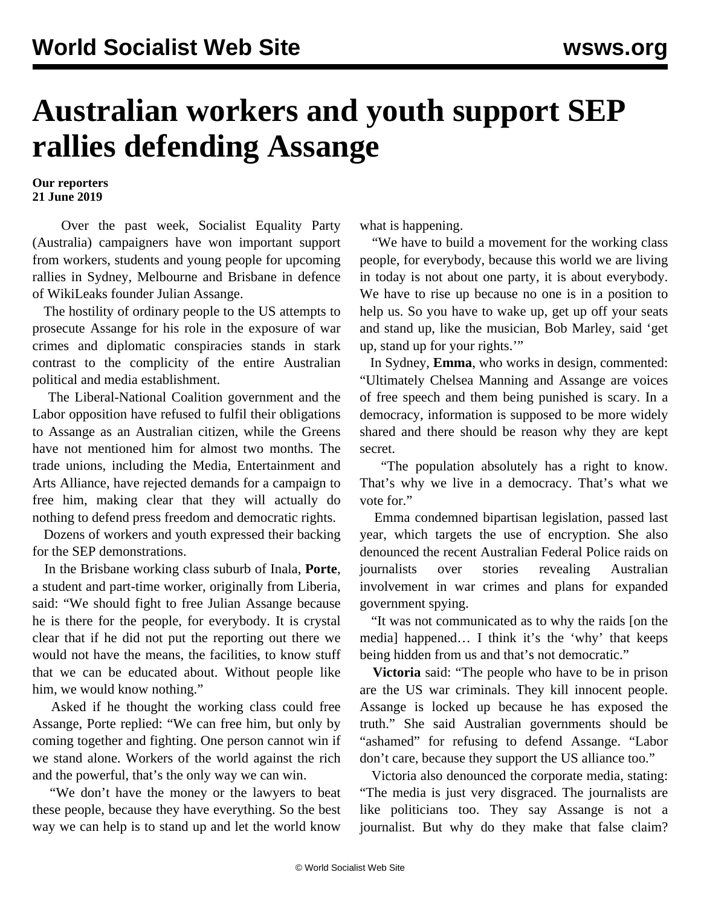## **Australian workers and youth support SEP rallies defending Assange**

## **Our reporters 21 June 2019**

 Over the past week, Socialist Equality Party (Australia) campaigners have won important support from workers, students and young people for [upcoming](/en/articles/2019/06/21/assa-j21.html) [rallies](/en/articles/2019/06/21/assa-j21.html) in Sydney, Melbourne and Brisbane in defence of WikiLeaks founder Julian Assange.

 The hostility of ordinary people to the US attempts to prosecute Assange for his role in the exposure of war crimes and diplomatic conspiracies stands in stark contrast to the complicity of the entire Australian political and media establishment.

 The Liberal-National Coalition government and the Labor opposition have refused to fulfil their obligations to Assange as an Australian citizen, while the Greens have not mentioned him for almost two months. The trade unions, including the Media, Entertainment and Arts Alliance, have rejected demands for a campaign to free him, making clear that they will actually do nothing to defend press freedom and democratic rights.

 Dozens of workers and youth expressed their backing for the SEP demonstrations.

 In the Brisbane working class suburb of Inala, **Porte**, a student and part-time worker, originally from Liberia, said: "We should fight to free Julian Assange because he is there for the people, for everybody. It is crystal clear that if he did not put the reporting out there we would not have the means, the facilities, to know stuff that we can be educated about. Without people like him, we would know nothing."

 Asked if he thought the working class could free Assange, Porte replied: "We can free him, but only by coming together and fighting. One person cannot win if we stand alone. Workers of the world against the rich and the powerful, that's the only way we can win.

 "We don't have the money or the lawyers to beat these people, because they have everything. So the best way we can help is to stand up and let the world know

what is happening.

 "We have to build a movement for the working class people, for everybody, because this world we are living in today is not about one party, it is about everybody. We have to rise up because no one is in a position to help us. So you have to wake up, get up off your seats and stand up, like the musician, Bob Marley, said 'get up, stand up for your rights.'"

 In Sydney, **Emma**, who works in design, commented: "Ultimately Chelsea Manning and Assange are voices of free speech and them being punished is scary. In a democracy, information is supposed to be more widely shared and there should be reason why they are kept secret.

 "The population absolutely has a right to know. That's why we live in a democracy. That's what we vote for."

 Emma condemned bipartisan legislation, passed last year, which targets the use of encryption. She also denounced the recent Australian Federal Police raids on journalists over stories revealing Australian involvement in war crimes and plans for expanded government spying.

 "It was not communicated as to why the raids [on the media] happened… I think it's the 'why' that keeps being hidden from us and that's not democratic."

 **Victoria** said: "The people who have to be in prison are the US war criminals. They kill innocent people. Assange is locked up because he has exposed the truth." She said Australian governments should be "ashamed" for refusing to defend Assange. "Labor don't care, because they support the US alliance too."

 Victoria also denounced the corporate media, stating: "The media is just very disgraced. The journalists are like politicians too. They say Assange is not a journalist. But why do they make that false claim?